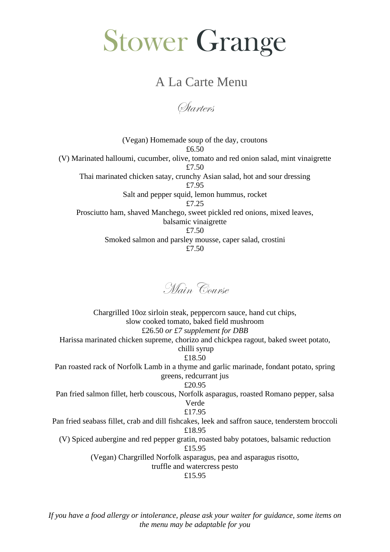## Stower Grange

## A La Carte Menu

*Starters* 

(Vegan) Homemade soup of the day, croutons £6.50 (V) Marinated halloumi, cucumber, olive, tomato and red onion salad, mint vinaigrette £7.50 Thai marinated chicken satay, crunchy Asian salad, hot and sour dressing £7.95 Salt and pepper squid, lemon hummus, rocket £7.25 Prosciutto ham, shaved Manchego, sweet pickled red onions, mixed leaves, balsamic vinaigrette £7.50 Smoked salmon and parsley mousse, caper salad, crostini £7.50



Chargrilled 10oz sirloin steak, peppercorn sauce, hand cut chips, slow cooked tomato, baked field mushroom £26.50 *or £7 supplement for DBB* Harissa marinated chicken supreme, chorizo and chickpea ragout, baked sweet potato, chilli syrup £18.50 Pan roasted rack of Norfolk Lamb in a thyme and garlic marinade, fondant potato, spring greens, redcurrant jus £20.95 Pan fried salmon fillet, herb couscous, Norfolk asparagus, roasted Romano pepper, salsa Verde £17.95 Pan fried seabass fillet, crab and dill fishcakes, leek and saffron sauce, tenderstem broccoli £18.95 (V) Spiced aubergine and red pepper gratin, roasted baby potatoes, balsamic reduction £15.95 (Vegan) Chargrilled Norfolk asparagus, pea and asparagus risotto, truffle and watercress pesto

£15.95

*If you have a food allergy or intolerance, please ask your waiter for guidance, some items on the menu may be adaptable for you*